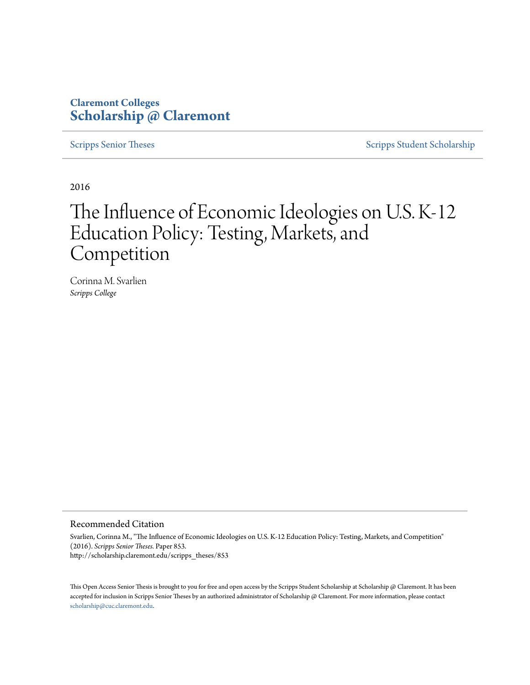# **Claremont Colleges [Scholarship @ Claremont](http://scholarship.claremont.edu)**

[Scripps Senior Theses](http://scholarship.claremont.edu/scripps_theses) [Scripps Student Scholarship](http://scholarship.claremont.edu/scripps_student)

2016

# The Influence of Economic Ideologies on U.S. K-12 Education Policy: Testing, Markets, and Competition

Corinna M. Svarlien *Scripps College*

#### Recommended Citation

Svarlien, Corinna M., "The Influence of Economic Ideologies on U.S. K-12 Education Policy: Testing, Markets, and Competition" (2016). *Scripps Senior Theses.* Paper 853. http://scholarship.claremont.edu/scripps\_theses/853

This Open Access Senior Thesis is brought to you for free and open access by the Scripps Student Scholarship at Scholarship @ Claremont. It has been accepted for inclusion in Scripps Senior Theses by an authorized administrator of Scholarship @ Claremont. For more information, please contact [scholarship@cuc.claremont.edu.](mailto:scholarship@cuc.claremont.edu)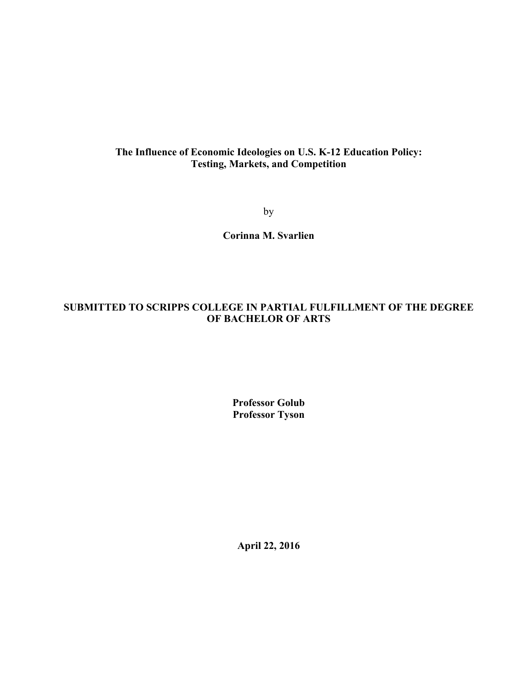# **The Influence of Economic Ideologies on U.S. K-12 Education Policy: Testing, Markets, and Competition**

by

**Corinna M. Svarlien** 

# **SUBMITTED TO SCRIPPS COLLEGE IN PARTIAL FULFILLMENT OF THE DEGREE OF BACHELOR OF ARTS**

**Professor Golub Professor Tyson** 

**April 22, 2016**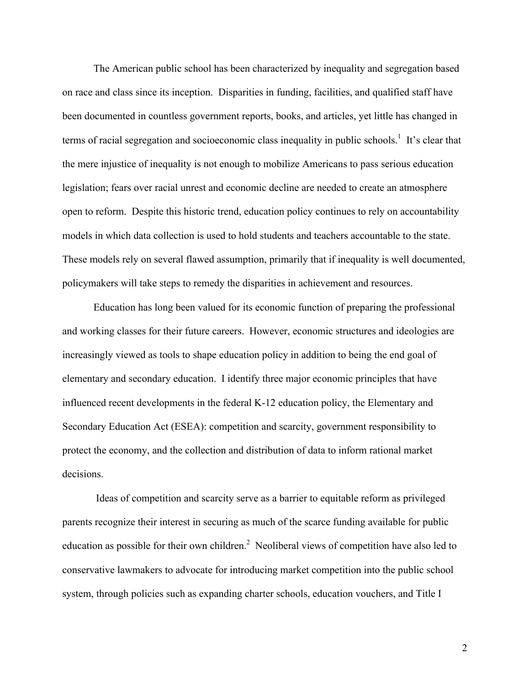The American public school has been characterized by inequality and segregation based on race and class since its inception. Disparities in funding, facilities, and qualified staff have been documented in countless government reports, books, and articles, yet little has changed in terms of racial segregation and socioeconomic class inequality in public schools.<sup>1</sup> It's clear that the mere injustice of inequality is not enough to mobilize Americans to pass serious education legislation; fears over racial unrest and economic decline are needed to create an atmosphere open to reform. Despite this historic trend, education policy continues to rely on accountability models in which data collection is used to hold students and teachers accountable to the state. These models rely on several flawed assumption, primarily that if inequality is well documented, policymakers will take steps to remedy the disparities in achievement and resources.

Education has long been valued for its economic function of preparing the professional and working classes for their future careers. However, economic structures and ideologies are increasingly viewed as tools to shape education policy in addition to being the end goal of elementary and secondary education. I identify three major economic principles that have influenced recent developments in the federal K-12 education policy, the Elementary and Secondary Education Act (ESEA): competition and scarcity, government responsibility to protect the economy, and the collection and distribution of data to inform rational market decisions.

Ideas of competition and scarcity serve as a barrier to equitable reform as privileged parents recognize their interest in securing as much of the scarce funding available for public education as possible for their own children.<sup>2</sup> Neoliberal views of competition have also led to conservative lawmakers to advocate for introducing market competition into the public school system, through policies such as expanding charter schools, education vouchers, and Title I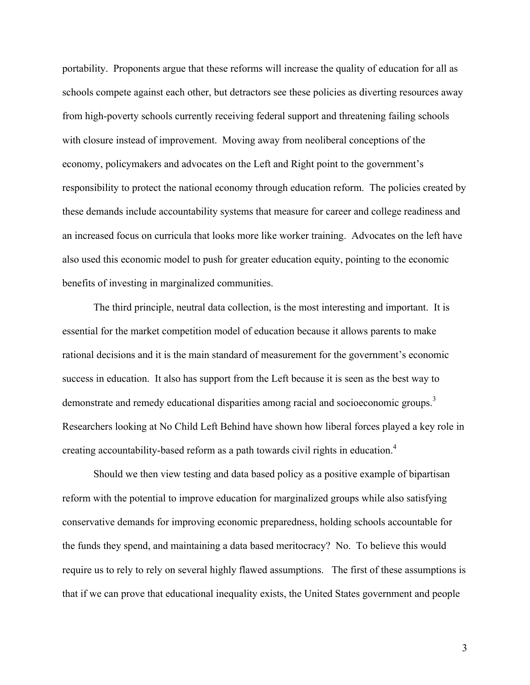portability. Proponents argue that these reforms will increase the quality of education for all as schools compete against each other, but detractors see these policies as diverting resources away from high-poverty schools currently receiving federal support and threatening failing schools with closure instead of improvement. Moving away from neoliberal conceptions of the economy, policymakers and advocates on the Left and Right point to the government's responsibility to protect the national economy through education reform. The policies created by these demands include accountability systems that measure for career and college readiness and an increased focus on curricula that looks more like worker training. Advocates on the left have also used this economic model to push for greater education equity, pointing to the economic benefits of investing in marginalized communities.

The third principle, neutral data collection, is the most interesting and important. It is essential for the market competition model of education because it allows parents to make rational decisions and it is the main standard of measurement for the government's economic success in education. It also has support from the Left because it is seen as the best way to demonstrate and remedy educational disparities among racial and socioeconomic groups.<sup>3</sup> Researchers looking at No Child Left Behind have shown how liberal forces played a key role in creating accountability-based reform as a path towards civil rights in education.<sup>4</sup>

Should we then view testing and data based policy as a positive example of bipartisan reform with the potential to improve education for marginalized groups while also satisfying conservative demands for improving economic preparedness, holding schools accountable for the funds they spend, and maintaining a data based meritocracy? No. To believe this would require us to rely to rely on several highly flawed assumptions. The first of these assumptions is that if we can prove that educational inequality exists, the United States government and people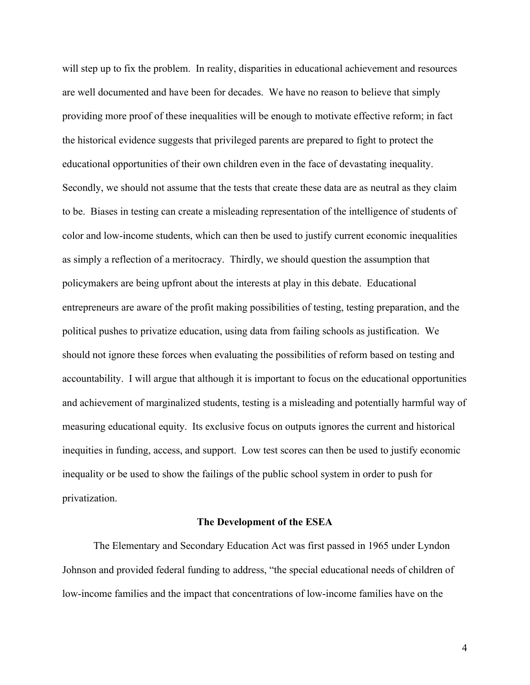will step up to fix the problem. In reality, disparities in educational achievement and resources are well documented and have been for decades. We have no reason to believe that simply providing more proof of these inequalities will be enough to motivate effective reform; in fact the historical evidence suggests that privileged parents are prepared to fight to protect the educational opportunities of their own children even in the face of devastating inequality. Secondly, we should not assume that the tests that create these data are as neutral as they claim to be. Biases in testing can create a misleading representation of the intelligence of students of color and low-income students, which can then be used to justify current economic inequalities as simply a reflection of a meritocracy. Thirdly, we should question the assumption that policymakers are being upfront about the interests at play in this debate. Educational entrepreneurs are aware of the profit making possibilities of testing, testing preparation, and the political pushes to privatize education, using data from failing schools as justification. We should not ignore these forces when evaluating the possibilities of reform based on testing and accountability. I will argue that although it is important to focus on the educational opportunities and achievement of marginalized students, testing is a misleading and potentially harmful way of measuring educational equity. Its exclusive focus on outputs ignores the current and historical inequities in funding, access, and support. Low test scores can then be used to justify economic inequality or be used to show the failings of the public school system in order to push for privatization.

## **The Development of the ESEA**

The Elementary and Secondary Education Act was first passed in 1965 under Lyndon Johnson and provided federal funding to address, "the special educational needs of children of low-income families and the impact that concentrations of low-income families have on the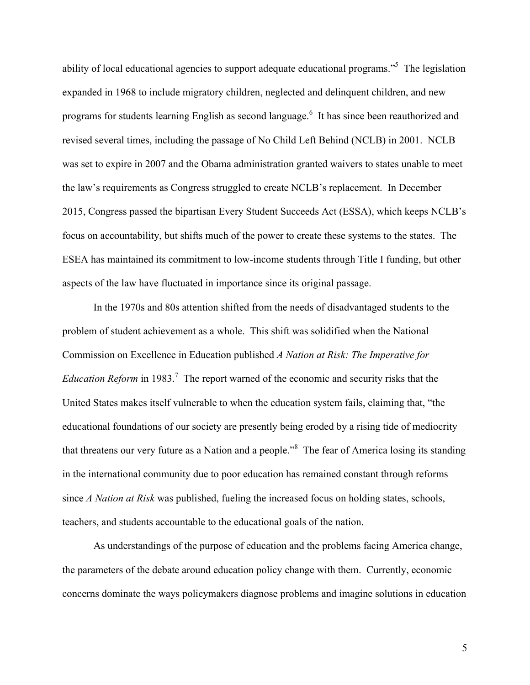ability of local educational agencies to support adequate educational programs."5 The legislation expanded in 1968 to include migratory children, neglected and delinquent children, and new programs for students learning English as second language. It has since been reauthorized and revised several times, including the passage of No Child Left Behind (NCLB) in 2001. NCLB was set to expire in 2007 and the Obama administration granted waivers to states unable to meet the law's requirements as Congress struggled to create NCLB's replacement. In December 2015, Congress passed the bipartisan Every Student Succeeds Act (ESSA), which keeps NCLB's focus on accountability, but shifts much of the power to create these systems to the states. The ESEA has maintained its commitment to low-income students through Title I funding, but other aspects of the law have fluctuated in importance since its original passage.

In the 1970s and 80s attention shifted from the needs of disadvantaged students to the problem of student achievement as a whole. This shift was solidified when the National Commission on Excellence in Education published *A Nation at Risk: The Imperative for*  Education Reform in 1983.<sup>7</sup> The report warned of the economic and security risks that the United States makes itself vulnerable to when the education system fails, claiming that, "the educational foundations of our society are presently being eroded by a rising tide of mediocrity that threatens our very future as a Nation and a people."<sup>8</sup> The fear of America losing its standing in the international community due to poor education has remained constant through reforms since *A Nation at Risk* was published, fueling the increased focus on holding states, schools, teachers, and students accountable to the educational goals of the nation.

As understandings of the purpose of education and the problems facing America change, the parameters of the debate around education policy change with them. Currently, economic concerns dominate the ways policymakers diagnose problems and imagine solutions in education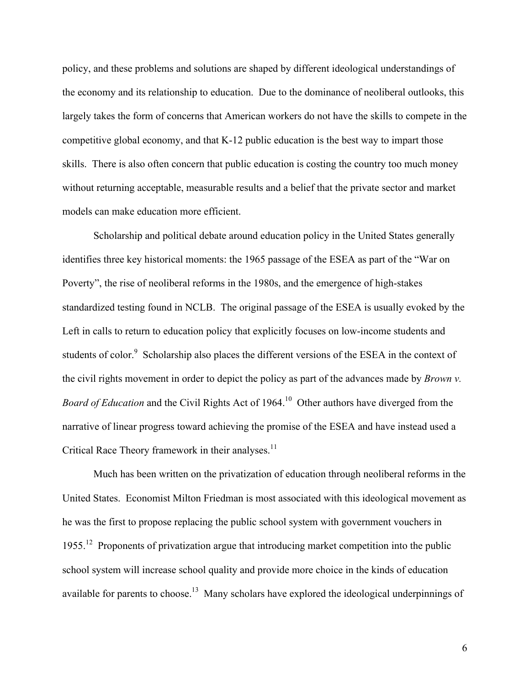policy, and these problems and solutions are shaped by different ideological understandings of the economy and its relationship to education. Due to the dominance of neoliberal outlooks, this largely takes the form of concerns that American workers do not have the skills to compete in the competitive global economy, and that K-12 public education is the best way to impart those skills. There is also often concern that public education is costing the country too much money without returning acceptable, measurable results and a belief that the private sector and market models can make education more efficient.

Scholarship and political debate around education policy in the United States generally identifies three key historical moments: the 1965 passage of the ESEA as part of the "War on Poverty", the rise of neoliberal reforms in the 1980s, and the emergence of high-stakes standardized testing found in NCLB. The original passage of the ESEA is usually evoked by the Left in calls to return to education policy that explicitly focuses on low-income students and students of color.<sup>9</sup> Scholarship also places the different versions of the ESEA in the context of the civil rights movement in order to depict the policy as part of the advances made by *Brown v. Board of Education* and the Civil Rights Act of 1964. 10 Other authors have diverged from the narrative of linear progress toward achieving the promise of the ESEA and have instead used a Critical Race Theory framework in their analyses. $<sup>11</sup>$ </sup>

Much has been written on the privatization of education through neoliberal reforms in the United States. Economist Milton Friedman is most associated with this ideological movement as he was the first to propose replacing the public school system with government vouchers in 1955.<sup>12</sup> Proponents of privatization argue that introducing market competition into the public school system will increase school quality and provide more choice in the kinds of education available for parents to choose.<sup>13</sup> Many scholars have explored the ideological underpinnings of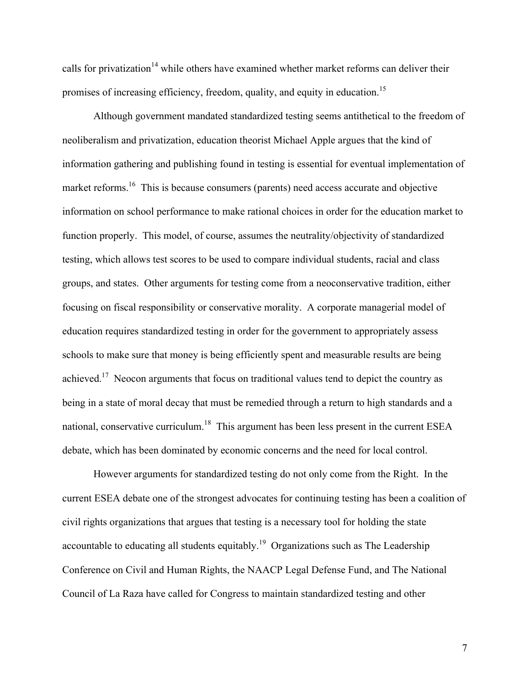calls for privatization<sup>14</sup> while others have examined whether market reforms can deliver their promises of increasing efficiency, freedom, quality, and equity in education.<sup>15</sup>

Although government mandated standardized testing seems antithetical to the freedom of neoliberalism and privatization, education theorist Michael Apple argues that the kind of information gathering and publishing found in testing is essential for eventual implementation of market reforms.<sup>16</sup> This is because consumers (parents) need access accurate and objective information on school performance to make rational choices in order for the education market to function properly. This model, of course, assumes the neutrality/objectivity of standardized testing, which allows test scores to be used to compare individual students, racial and class groups, and states. Other arguments for testing come from a neoconservative tradition, either focusing on fiscal responsibility or conservative morality. A corporate managerial model of education requires standardized testing in order for the government to appropriately assess schools to make sure that money is being efficiently spent and measurable results are being achieved.<sup>17</sup> Neocon arguments that focus on traditional values tend to depict the country as being in a state of moral decay that must be remedied through a return to high standards and a national, conservative curriculum.<sup>18</sup> This argument has been less present in the current ESEA debate, which has been dominated by economic concerns and the need for local control.

However arguments for standardized testing do not only come from the Right. In the current ESEA debate one of the strongest advocates for continuing testing has been a coalition of civil rights organizations that argues that testing is a necessary tool for holding the state accountable to educating all students equitably.19 Organizations such as The Leadership Conference on Civil and Human Rights, the NAACP Legal Defense Fund, and The National Council of La Raza have called for Congress to maintain standardized testing and other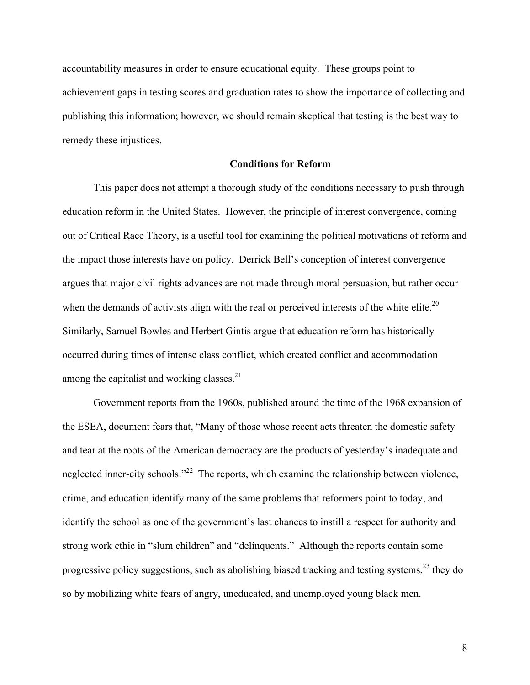accountability measures in order to ensure educational equity. These groups point to achievement gaps in testing scores and graduation rates to show the importance of collecting and publishing this information; however, we should remain skeptical that testing is the best way to remedy these injustices.

# **Conditions for Reform**

This paper does not attempt a thorough study of the conditions necessary to push through education reform in the United States. However, the principle of interest convergence, coming out of Critical Race Theory, is a useful tool for examining the political motivations of reform and the impact those interests have on policy. Derrick Bell's conception of interest convergence argues that major civil rights advances are not made through moral persuasion, but rather occur when the demands of activists align with the real or perceived interests of the white elite.<sup>20</sup> Similarly, Samuel Bowles and Herbert Gintis argue that education reform has historically occurred during times of intense class conflict, which created conflict and accommodation among the capitalist and working classes.<sup>21</sup>

Government reports from the 1960s, published around the time of the 1968 expansion of the ESEA, document fears that, "Many of those whose recent acts threaten the domestic safety and tear at the roots of the American democracy are the products of yesterday's inadequate and neglected inner-city schools."<sup>22</sup> The reports, which examine the relationship between violence, crime, and education identify many of the same problems that reformers point to today, and identify the school as one of the government's last chances to instill a respect for authority and strong work ethic in "slum children" and "delinquents." Although the reports contain some progressive policy suggestions, such as abolishing biased tracking and testing systems, $^{23}$  they do so by mobilizing white fears of angry, uneducated, and unemployed young black men.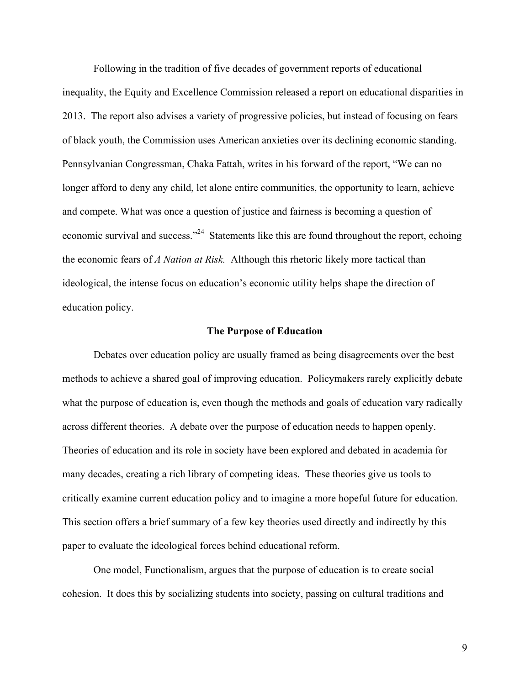Following in the tradition of five decades of government reports of educational inequality, the Equity and Excellence Commission released a report on educational disparities in 2013. The report also advises a variety of progressive policies, but instead of focusing on fears of black youth, the Commission uses American anxieties over its declining economic standing. Pennsylvanian Congressman, Chaka Fattah, writes in his forward of the report, "We can no longer afford to deny any child, let alone entire communities, the opportunity to learn, achieve and compete. What was once a question of justice and fairness is becoming a question of economic survival and success."24 Statements like this are found throughout the report, echoing the economic fears of *A Nation at Risk.* Although this rhetoric likely more tactical than ideological, the intense focus on education's economic utility helps shape the direction of education policy.

#### **The Purpose of Education**

Debates over education policy are usually framed as being disagreements over the best methods to achieve a shared goal of improving education. Policymakers rarely explicitly debate what the purpose of education is, even though the methods and goals of education vary radically across different theories. A debate over the purpose of education needs to happen openly. Theories of education and its role in society have been explored and debated in academia for many decades, creating a rich library of competing ideas. These theories give us tools to critically examine current education policy and to imagine a more hopeful future for education. This section offers a brief summary of a few key theories used directly and indirectly by this paper to evaluate the ideological forces behind educational reform.

One model, Functionalism, argues that the purpose of education is to create social cohesion. It does this by socializing students into society, passing on cultural traditions and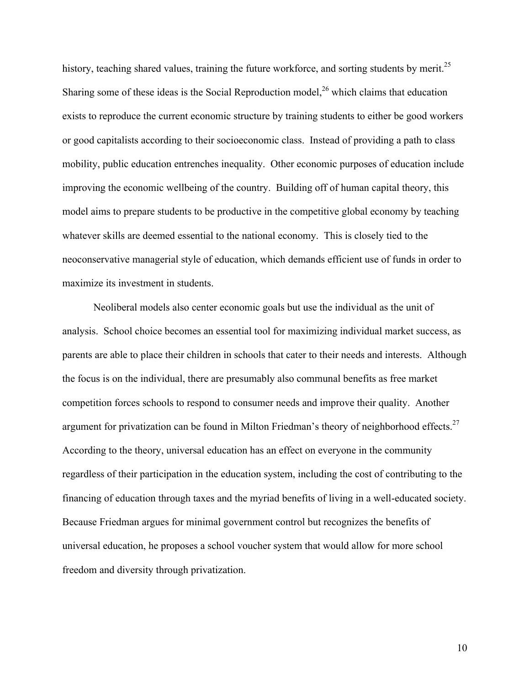history, teaching shared values, training the future workforce, and sorting students by merit.<sup>25</sup> Sharing some of these ideas is the Social Reproduction model,<sup>26</sup> which claims that education exists to reproduce the current economic structure by training students to either be good workers or good capitalists according to their socioeconomic class. Instead of providing a path to class mobility, public education entrenches inequality. Other economic purposes of education include improving the economic wellbeing of the country. Building off of human capital theory, this model aims to prepare students to be productive in the competitive global economy by teaching whatever skills are deemed essential to the national economy. This is closely tied to the neoconservative managerial style of education, which demands efficient use of funds in order to maximize its investment in students.

Neoliberal models also center economic goals but use the individual as the unit of analysis. School choice becomes an essential tool for maximizing individual market success, as parents are able to place their children in schools that cater to their needs and interests. Although the focus is on the individual, there are presumably also communal benefits as free market competition forces schools to respond to consumer needs and improve their quality. Another argument for privatization can be found in Milton Friedman's theory of neighborhood effects.<sup>27</sup> According to the theory, universal education has an effect on everyone in the community regardless of their participation in the education system, including the cost of contributing to the financing of education through taxes and the myriad benefits of living in a well-educated society. Because Friedman argues for minimal government control but recognizes the benefits of universal education, he proposes a school voucher system that would allow for more school freedom and diversity through privatization.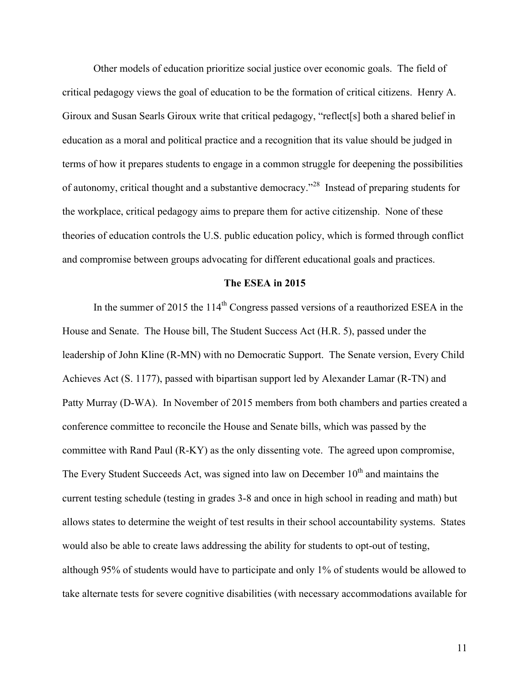Other models of education prioritize social justice over economic goals. The field of critical pedagogy views the goal of education to be the formation of critical citizens. Henry A. Giroux and Susan Searls Giroux write that critical pedagogy, "reflect[s] both a shared belief in education as a moral and political practice and a recognition that its value should be judged in terms of how it prepares students to engage in a common struggle for deepening the possibilities of autonomy, critical thought and a substantive democracy."28 Instead of preparing students for the workplace, critical pedagogy aims to prepare them for active citizenship. None of these theories of education controls the U.S. public education policy, which is formed through conflict and compromise between groups advocating for different educational goals and practices.

#### **The ESEA in 2015**

In the summer of 2015 the  $114<sup>th</sup>$  Congress passed versions of a reauthorized ESEA in the House and Senate. The House bill, The Student Success Act (H.R. 5), passed under the leadership of John Kline (R-MN) with no Democratic Support. The Senate version, Every Child Achieves Act (S. 1177), passed with bipartisan support led by Alexander Lamar (R-TN) and Patty Murray (D-WA). In November of 2015 members from both chambers and parties created a conference committee to reconcile the House and Senate bills, which was passed by the committee with Rand Paul (R-KY) as the only dissenting vote. The agreed upon compromise, The Every Student Succeeds Act, was signed into law on December  $10<sup>th</sup>$  and maintains the current testing schedule (testing in grades 3-8 and once in high school in reading and math) but allows states to determine the weight of test results in their school accountability systems. States would also be able to create laws addressing the ability for students to opt-out of testing, although 95% of students would have to participate and only 1% of students would be allowed to take alternate tests for severe cognitive disabilities (with necessary accommodations available for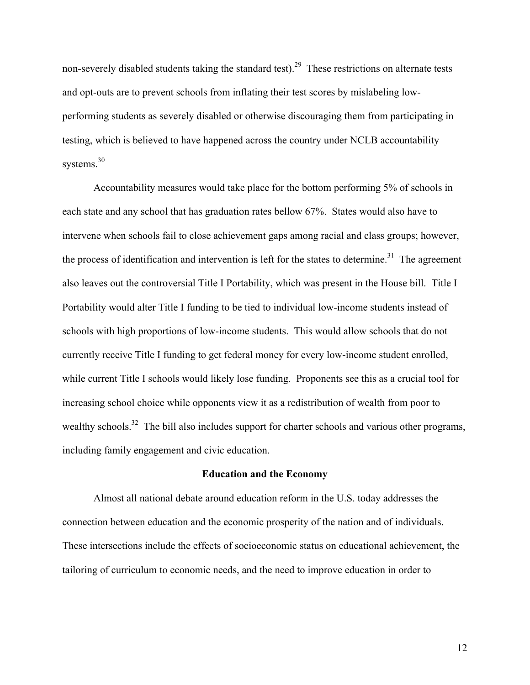non-severely disabled students taking the standard test).<sup>29</sup> These restrictions on alternate tests and opt-outs are to prevent schools from inflating their test scores by mislabeling lowperforming students as severely disabled or otherwise discouraging them from participating in testing, which is believed to have happened across the country under NCLB accountability systems.<sup>30</sup>

Accountability measures would take place for the bottom performing 5% of schools in each state and any school that has graduation rates bellow 67%. States would also have to intervene when schools fail to close achievement gaps among racial and class groups; however, the process of identification and intervention is left for the states to determine.<sup>31</sup> The agreement also leaves out the controversial Title I Portability, which was present in the House bill. Title I Portability would alter Title I funding to be tied to individual low-income students instead of schools with high proportions of low-income students. This would allow schools that do not currently receive Title I funding to get federal money for every low-income student enrolled, while current Title I schools would likely lose funding. Proponents see this as a crucial tool for increasing school choice while opponents view it as a redistribution of wealth from poor to wealthy schools.<sup>32</sup> The bill also includes support for charter schools and various other programs, including family engagement and civic education.

# **Education and the Economy**

Almost all national debate around education reform in the U.S. today addresses the connection between education and the economic prosperity of the nation and of individuals. These intersections include the effects of socioeconomic status on educational achievement, the tailoring of curriculum to economic needs, and the need to improve education in order to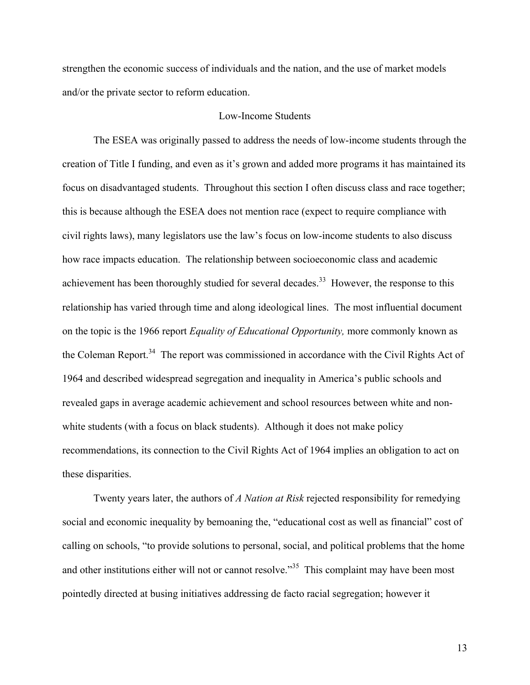strengthen the economic success of individuals and the nation, and the use of market models and/or the private sector to reform education.

# Low-Income Students

The ESEA was originally passed to address the needs of low-income students through the creation of Title I funding, and even as it's grown and added more programs it has maintained its focus on disadvantaged students. Throughout this section I often discuss class and race together; this is because although the ESEA does not mention race (expect to require compliance with civil rights laws), many legislators use the law's focus on low-income students to also discuss how race impacts education. The relationship between socioeconomic class and academic achievement has been thoroughly studied for several decades.<sup>33</sup> However, the response to this relationship has varied through time and along ideological lines. The most influential document on the topic is the 1966 report *Equality of Educational Opportunity,* more commonly known as the Coleman Report.<sup>34</sup> The report was commissioned in accordance with the Civil Rights Act of 1964 and described widespread segregation and inequality in America's public schools and revealed gaps in average academic achievement and school resources between white and nonwhite students (with a focus on black students). Although it does not make policy recommendations, its connection to the Civil Rights Act of 1964 implies an obligation to act on these disparities.

Twenty years later, the authors of *A Nation at Risk* rejected responsibility for remedying social and economic inequality by bemoaning the, "educational cost as well as financial" cost of calling on schools, "to provide solutions to personal, social, and political problems that the home and other institutions either will not or cannot resolve."<sup>35</sup> This complaint may have been most pointedly directed at busing initiatives addressing de facto racial segregation; however it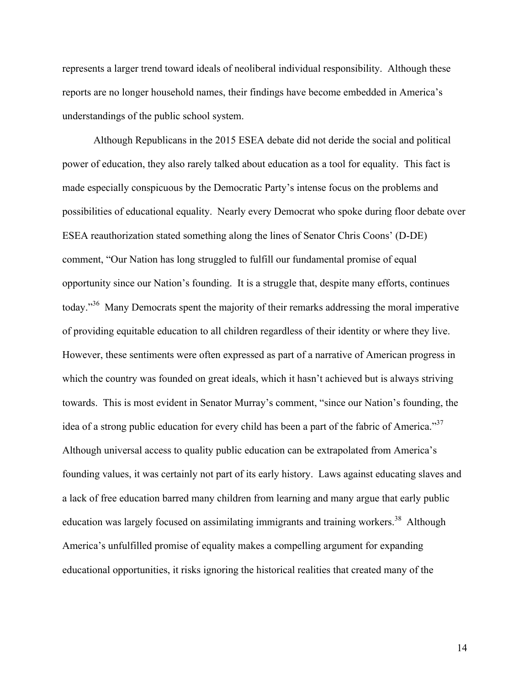represents a larger trend toward ideals of neoliberal individual responsibility. Although these reports are no longer household names, their findings have become embedded in America's understandings of the public school system.

Although Republicans in the 2015 ESEA debate did not deride the social and political power of education, they also rarely talked about education as a tool for equality. This fact is made especially conspicuous by the Democratic Party's intense focus on the problems and possibilities of educational equality. Nearly every Democrat who spoke during floor debate over ESEA reauthorization stated something along the lines of Senator Chris Coons' (D-DE) comment, "Our Nation has long struggled to fulfill our fundamental promise of equal opportunity since our Nation's founding. It is a struggle that, despite many efforts, continues today."36 Many Democrats spent the majority of their remarks addressing the moral imperative of providing equitable education to all children regardless of their identity or where they live. However, these sentiments were often expressed as part of a narrative of American progress in which the country was founded on great ideals, which it hasn't achieved but is always striving towards. This is most evident in Senator Murray's comment, "since our Nation's founding, the idea of a strong public education for every child has been a part of the fabric of America."<sup>37</sup> Although universal access to quality public education can be extrapolated from America's founding values, it was certainly not part of its early history. Laws against educating slaves and a lack of free education barred many children from learning and many argue that early public education was largely focused on assimilating immigrants and training workers.<sup>38</sup> Although America's unfulfilled promise of equality makes a compelling argument for expanding educational opportunities, it risks ignoring the historical realities that created many of the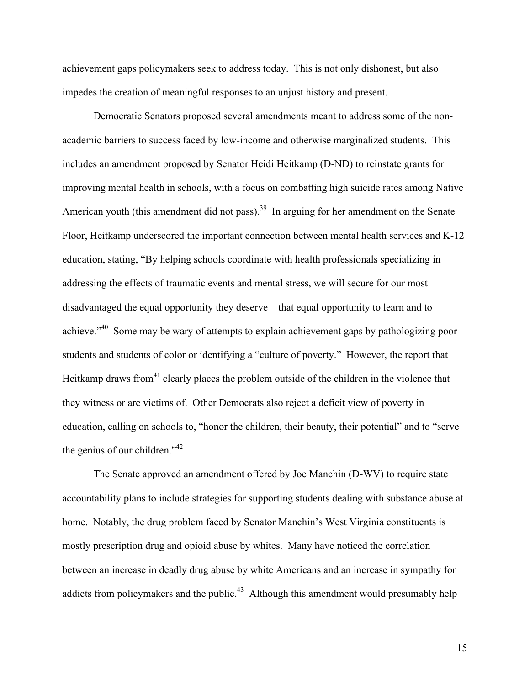achievement gaps policymakers seek to address today. This is not only dishonest, but also impedes the creation of meaningful responses to an unjust history and present.

Democratic Senators proposed several amendments meant to address some of the nonacademic barriers to success faced by low-income and otherwise marginalized students. This includes an amendment proposed by Senator Heidi Heitkamp (D-ND) to reinstate grants for improving mental health in schools, with a focus on combatting high suicide rates among Native American youth (this amendment did not pass).<sup>39</sup> In arguing for her amendment on the Senate Floor, Heitkamp underscored the important connection between mental health services and K-12 education, stating, "By helping schools coordinate with health professionals specializing in addressing the effects of traumatic events and mental stress, we will secure for our most disadvantaged the equal opportunity they deserve—that equal opportunity to learn and to achieve."40 Some may be wary of attempts to explain achievement gaps by pathologizing poor students and students of color or identifying a "culture of poverty." However, the report that Heitkamp draws from<sup>41</sup> clearly places the problem outside of the children in the violence that they witness or are victims of. Other Democrats also reject a deficit view of poverty in education, calling on schools to, "honor the children, their beauty, their potential" and to "serve the genius of our children."<sup>42</sup>

The Senate approved an amendment offered by Joe Manchin (D-WV) to require state accountability plans to include strategies for supporting students dealing with substance abuse at home. Notably, the drug problem faced by Senator Manchin's West Virginia constituents is mostly prescription drug and opioid abuse by whites. Many have noticed the correlation between an increase in deadly drug abuse by white Americans and an increase in sympathy for addicts from policymakers and the public.<sup>43</sup> Although this amendment would presumably help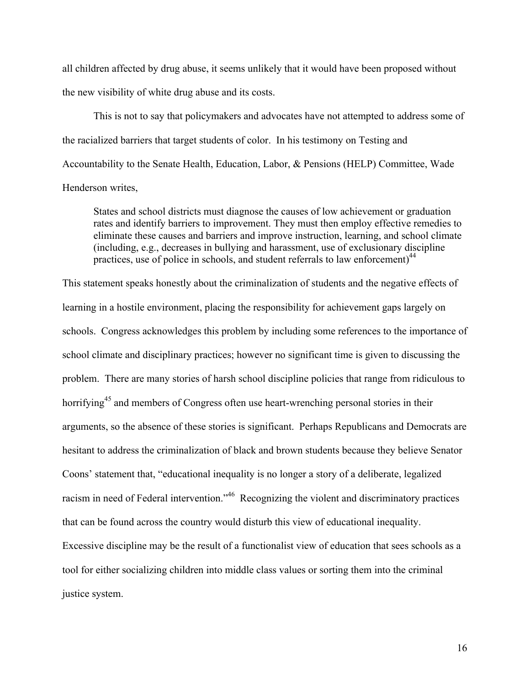all children affected by drug abuse, it seems unlikely that it would have been proposed without the new visibility of white drug abuse and its costs.

This is not to say that policymakers and advocates have not attempted to address some of the racialized barriers that target students of color. In his testimony on Testing and Accountability to the Senate Health, Education, Labor, & Pensions (HELP) Committee, Wade Henderson writes,

States and school districts must diagnose the causes of low achievement or graduation rates and identify barriers to improvement. They must then employ effective remedies to eliminate these causes and barriers and improve instruction, learning, and school climate (including, e.g., decreases in bullying and harassment, use of exclusionary discipline practices, use of police in schools, and student referrals to law enforcement)<sup>44</sup>

This statement speaks honestly about the criminalization of students and the negative effects of learning in a hostile environment, placing the responsibility for achievement gaps largely on schools. Congress acknowledges this problem by including some references to the importance of school climate and disciplinary practices; however no significant time is given to discussing the problem. There are many stories of harsh school discipline policies that range from ridiculous to horrifying<sup>45</sup> and members of Congress often use heart-wrenching personal stories in their arguments, so the absence of these stories is significant. Perhaps Republicans and Democrats are hesitant to address the criminalization of black and brown students because they believe Senator Coons' statement that, "educational inequality is no longer a story of a deliberate, legalized racism in need of Federal intervention."<sup>46</sup> Recognizing the violent and discriminatory practices that can be found across the country would disturb this view of educational inequality. Excessive discipline may be the result of a functionalist view of education that sees schools as a tool for either socializing children into middle class values or sorting them into the criminal justice system.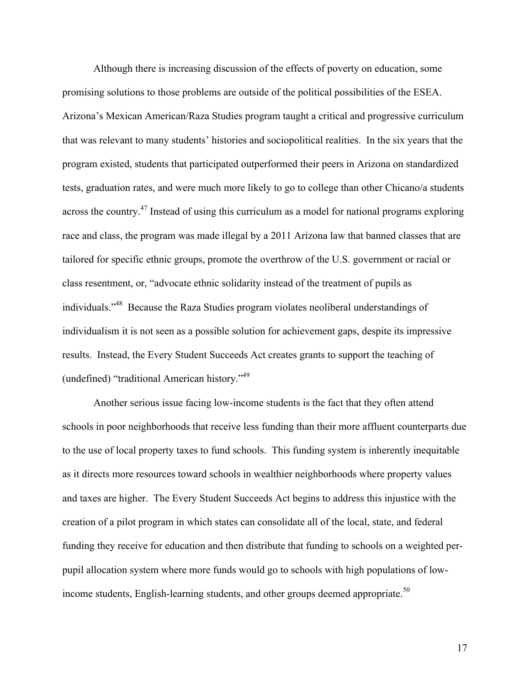Although there is increasing discussion of the effects of poverty on education, some promising solutions to those problems are outside of the political possibilities of the ESEA. Arizona's Mexican American/Raza Studies program taught a critical and progressive curriculum that was relevant to many students' histories and sociopolitical realities. In the six years that the program existed, students that participated outperformed their peers in Arizona on standardized tests, graduation rates, and were much more likely to go to college than other Chicano/a students across the country.47 Instead of using this curriculum as a model for national programs exploring race and class, the program was made illegal by a 2011 Arizona law that banned classes that are tailored for specific ethnic groups, promote the overthrow of the U.S. government or racial or class resentment, or, "advocate ethnic solidarity instead of the treatment of pupils as individuals."48 Because the Raza Studies program violates neoliberal understandings of individualism it is not seen as a possible solution for achievement gaps, despite its impressive results. Instead, the Every Student Succeeds Act creates grants to support the teaching of (undefined) "traditional American history."49

Another serious issue facing low-income students is the fact that they often attend schools in poor neighborhoods that receive less funding than their more affluent counterparts due to the use of local property taxes to fund schools. This funding system is inherently inequitable as it directs more resources toward schools in wealthier neighborhoods where property values and taxes are higher. The Every Student Succeeds Act begins to address this injustice with the creation of a pilot program in which states can consolidate all of the local, state, and federal funding they receive for education and then distribute that funding to schools on a weighted perpupil allocation system where more funds would go to schools with high populations of lowincome students, English-learning students, and other groups deemed appropriate.<sup>50</sup>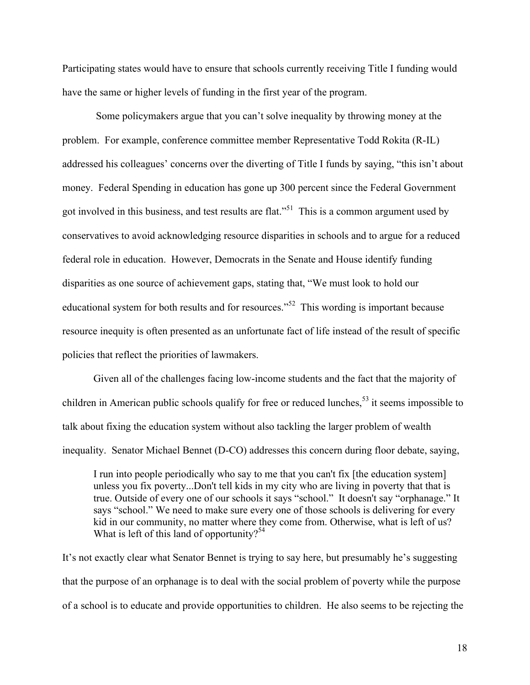Participating states would have to ensure that schools currently receiving Title I funding would have the same or higher levels of funding in the first year of the program.

Some policymakers argue that you can't solve inequality by throwing money at the problem. For example, conference committee member Representative Todd Rokita (R-IL) addressed his colleagues' concerns over the diverting of Title I funds by saying, "this isn't about money. Federal Spending in education has gone up 300 percent since the Federal Government got involved in this business, and test results are flat."51 This is a common argument used by conservatives to avoid acknowledging resource disparities in schools and to argue for a reduced federal role in education. However, Democrats in the Senate and House identify funding disparities as one source of achievement gaps, stating that, "We must look to hold our educational system for both results and for resources."<sup>52</sup> This wording is important because resource inequity is often presented as an unfortunate fact of life instead of the result of specific policies that reflect the priorities of lawmakers.

Given all of the challenges facing low-income students and the fact that the majority of children in American public schools qualify for free or reduced lunches,<sup>53</sup> it seems impossible to talk about fixing the education system without also tackling the larger problem of wealth inequality. Senator Michael Bennet (D-CO) addresses this concern during floor debate, saying,

I run into people periodically who say to me that you can't fix [the education system] unless you fix poverty...Don't tell kids in my city who are living in poverty that that is true. Outside of every one of our schools it says "school." It doesn't say "orphanage." It says "school." We need to make sure every one of those schools is delivering for every kid in our community, no matter where they come from. Otherwise, what is left of us? What is left of this land of opportunity?<sup>54</sup>

It's not exactly clear what Senator Bennet is trying to say here, but presumably he's suggesting that the purpose of an orphanage is to deal with the social problem of poverty while the purpose of a school is to educate and provide opportunities to children. He also seems to be rejecting the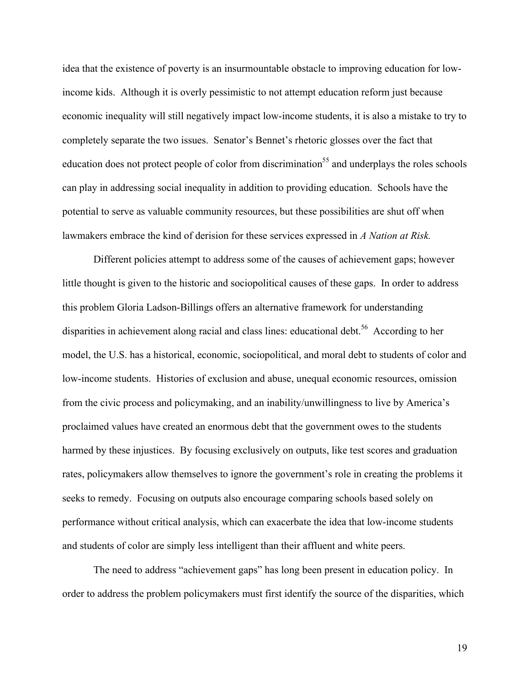idea that the existence of poverty is an insurmountable obstacle to improving education for lowincome kids. Although it is overly pessimistic to not attempt education reform just because economic inequality will still negatively impact low-income students, it is also a mistake to try to completely separate the two issues. Senator's Bennet's rhetoric glosses over the fact that education does not protect people of color from discrimination<sup>55</sup> and underplays the roles schools can play in addressing social inequality in addition to providing education. Schools have the potential to serve as valuable community resources, but these possibilities are shut off when lawmakers embrace the kind of derision for these services expressed in *A Nation at Risk.* 

Different policies attempt to address some of the causes of achievement gaps; however little thought is given to the historic and sociopolitical causes of these gaps. In order to address this problem Gloria Ladson-Billings offers an alternative framework for understanding disparities in achievement along racial and class lines: educational debt.<sup>56</sup> According to her model, the U.S. has a historical, economic, sociopolitical, and moral debt to students of color and low-income students. Histories of exclusion and abuse, unequal economic resources, omission from the civic process and policymaking, and an inability/unwillingness to live by America's proclaimed values have created an enormous debt that the government owes to the students harmed by these injustices. By focusing exclusively on outputs, like test scores and graduation rates, policymakers allow themselves to ignore the government's role in creating the problems it seeks to remedy. Focusing on outputs also encourage comparing schools based solely on performance without critical analysis, which can exacerbate the idea that low-income students and students of color are simply less intelligent than their affluent and white peers.

The need to address "achievement gaps" has long been present in education policy. In order to address the problem policymakers must first identify the source of the disparities, which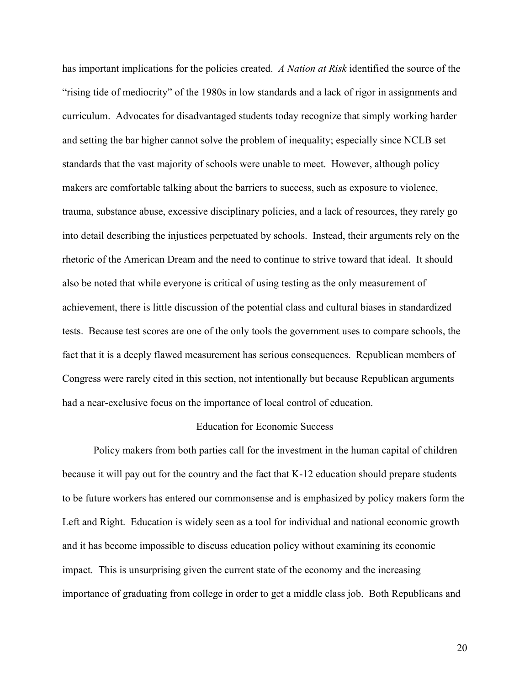has important implications for the policies created. *A Nation at Risk* identified the source of the "rising tide of mediocrity" of the 1980s in low standards and a lack of rigor in assignments and curriculum. Advocates for disadvantaged students today recognize that simply working harder and setting the bar higher cannot solve the problem of inequality; especially since NCLB set standards that the vast majority of schools were unable to meet. However, although policy makers are comfortable talking about the barriers to success, such as exposure to violence, trauma, substance abuse, excessive disciplinary policies, and a lack of resources, they rarely go into detail describing the injustices perpetuated by schools. Instead, their arguments rely on the rhetoric of the American Dream and the need to continue to strive toward that ideal. It should also be noted that while everyone is critical of using testing as the only measurement of achievement, there is little discussion of the potential class and cultural biases in standardized tests. Because test scores are one of the only tools the government uses to compare schools, the fact that it is a deeply flawed measurement has serious consequences. Republican members of Congress were rarely cited in this section, not intentionally but because Republican arguments had a near-exclusive focus on the importance of local control of education.

# Education for Economic Success

Policy makers from both parties call for the investment in the human capital of children because it will pay out for the country and the fact that K-12 education should prepare students to be future workers has entered our commonsense and is emphasized by policy makers form the Left and Right. Education is widely seen as a tool for individual and national economic growth and it has become impossible to discuss education policy without examining its economic impact. This is unsurprising given the current state of the economy and the increasing importance of graduating from college in order to get a middle class job. Both Republicans and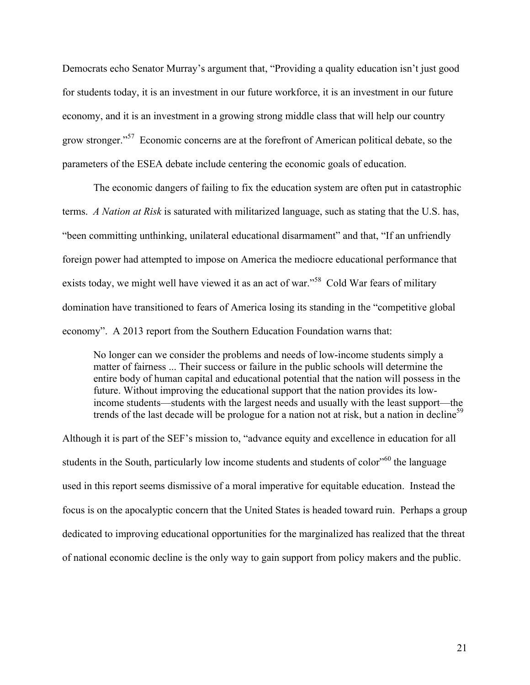Democrats echo Senator Murray's argument that, "Providing a quality education isn't just good for students today, it is an investment in our future workforce, it is an investment in our future economy, and it is an investment in a growing strong middle class that will help our country grow stronger."<sup>57</sup> Economic concerns are at the forefront of American political debate, so the parameters of the ESEA debate include centering the economic goals of education.

The economic dangers of failing to fix the education system are often put in catastrophic terms. *A Nation at Risk* is saturated with militarized language, such as stating that the U.S. has, "been committing unthinking, unilateral educational disarmament" and that, "If an unfriendly foreign power had attempted to impose on America the mediocre educational performance that exists today, we might well have viewed it as an act of war."<sup>58</sup> Cold War fears of military domination have transitioned to fears of America losing its standing in the "competitive global economy". A 2013 report from the Southern Education Foundation warns that:

No longer can we consider the problems and needs of low-income students simply a matter of fairness ... Their success or failure in the public schools will determine the entire body of human capital and educational potential that the nation will possess in the future. Without improving the educational support that the nation provides its lowincome students—students with the largest needs and usually with the least support—the trends of the last decade will be prologue for a nation not at risk, but a nation in decline<sup>59</sup>

Although it is part of the SEF's mission to, "advance equity and excellence in education for all students in the South, particularly low income students and students of color<sup>560</sup> the language used in this report seems dismissive of a moral imperative for equitable education. Instead the focus is on the apocalyptic concern that the United States is headed toward ruin. Perhaps a group dedicated to improving educational opportunities for the marginalized has realized that the threat of national economic decline is the only way to gain support from policy makers and the public.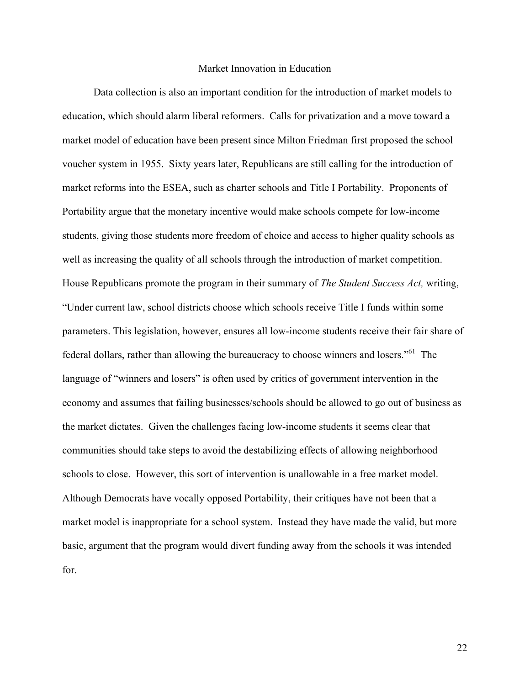# Market Innovation in Education

Data collection is also an important condition for the introduction of market models to education, which should alarm liberal reformers. Calls for privatization and a move toward a market model of education have been present since Milton Friedman first proposed the school voucher system in 1955. Sixty years later, Republicans are still calling for the introduction of market reforms into the ESEA, such as charter schools and Title I Portability. Proponents of Portability argue that the monetary incentive would make schools compete for low-income students, giving those students more freedom of choice and access to higher quality schools as well as increasing the quality of all schools through the introduction of market competition. House Republicans promote the program in their summary of *The Student Success Act,* writing, "Under current law, school districts choose which schools receive Title I funds within some parameters. This legislation, however, ensures all low-income students receive their fair share of federal dollars, rather than allowing the bureaucracy to choose winners and losers."<sup>61</sup> The language of "winners and losers" is often used by critics of government intervention in the economy and assumes that failing businesses/schools should be allowed to go out of business as the market dictates. Given the challenges facing low-income students it seems clear that communities should take steps to avoid the destabilizing effects of allowing neighborhood schools to close. However, this sort of intervention is unallowable in a free market model. Although Democrats have vocally opposed Portability, their critiques have not been that a market model is inappropriate for a school system. Instead they have made the valid, but more basic, argument that the program would divert funding away from the schools it was intended for.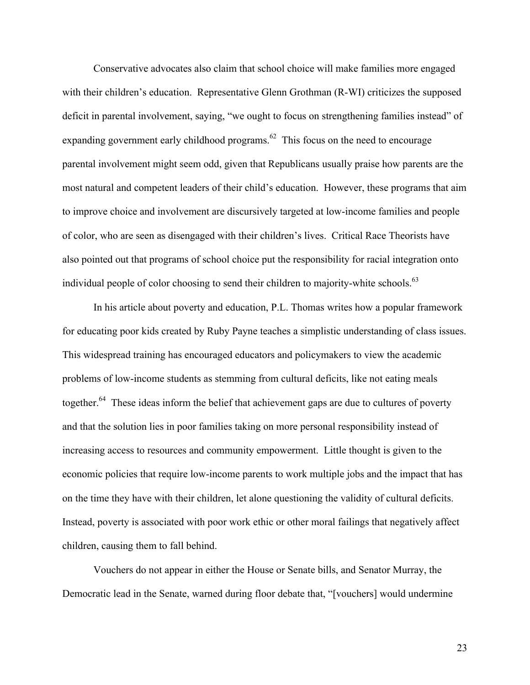Conservative advocates also claim that school choice will make families more engaged with their children's education. Representative Glenn Grothman (R-WI) criticizes the supposed deficit in parental involvement, saying, "we ought to focus on strengthening families instead" of expanding government early childhood programs. $62$  This focus on the need to encourage parental involvement might seem odd, given that Republicans usually praise how parents are the most natural and competent leaders of their child's education. However, these programs that aim to improve choice and involvement are discursively targeted at low-income families and people of color, who are seen as disengaged with their children's lives. Critical Race Theorists have also pointed out that programs of school choice put the responsibility for racial integration onto individual people of color choosing to send their children to majority-white schools.<sup>63</sup>

In his article about poverty and education, P.L. Thomas writes how a popular framework for educating poor kids created by Ruby Payne teaches a simplistic understanding of class issues. This widespread training has encouraged educators and policymakers to view the academic problems of low-income students as stemming from cultural deficits, like not eating meals together.<sup>64</sup> These ideas inform the belief that achievement gaps are due to cultures of poverty and that the solution lies in poor families taking on more personal responsibility instead of increasing access to resources and community empowerment. Little thought is given to the economic policies that require low-income parents to work multiple jobs and the impact that has on the time they have with their children, let alone questioning the validity of cultural deficits. Instead, poverty is associated with poor work ethic or other moral failings that negatively affect children, causing them to fall behind.

Vouchers do not appear in either the House or Senate bills, and Senator Murray, the Democratic lead in the Senate, warned during floor debate that, "[vouchers] would undermine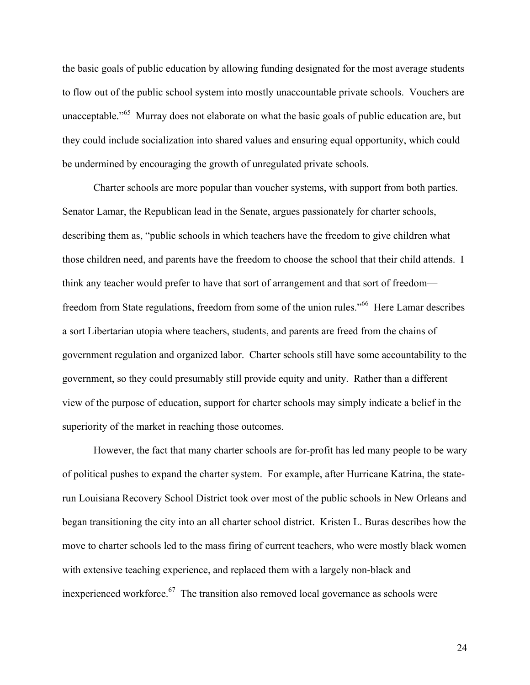the basic goals of public education by allowing funding designated for the most average students to flow out of the public school system into mostly unaccountable private schools. Vouchers are unacceptable.<sup>565</sup> Murray does not elaborate on what the basic goals of public education are, but they could include socialization into shared values and ensuring equal opportunity, which could be undermined by encouraging the growth of unregulated private schools.

Charter schools are more popular than voucher systems, with support from both parties. Senator Lamar, the Republican lead in the Senate, argues passionately for charter schools, describing them as, "public schools in which teachers have the freedom to give children what those children need, and parents have the freedom to choose the school that their child attends. I think any teacher would prefer to have that sort of arrangement and that sort of freedom freedom from State regulations, freedom from some of the union rules."66 Here Lamar describes a sort Libertarian utopia where teachers, students, and parents are freed from the chains of government regulation and organized labor. Charter schools still have some accountability to the government, so they could presumably still provide equity and unity. Rather than a different view of the purpose of education, support for charter schools may simply indicate a belief in the superiority of the market in reaching those outcomes.

However, the fact that many charter schools are for-profit has led many people to be wary of political pushes to expand the charter system. For example, after Hurricane Katrina, the staterun Louisiana Recovery School District took over most of the public schools in New Orleans and began transitioning the city into an all charter school district. Kristen L. Buras describes how the move to charter schools led to the mass firing of current teachers, who were mostly black women with extensive teaching experience, and replaced them with a largely non-black and inexperienced workforce.<sup>67</sup> The transition also removed local governance as schools were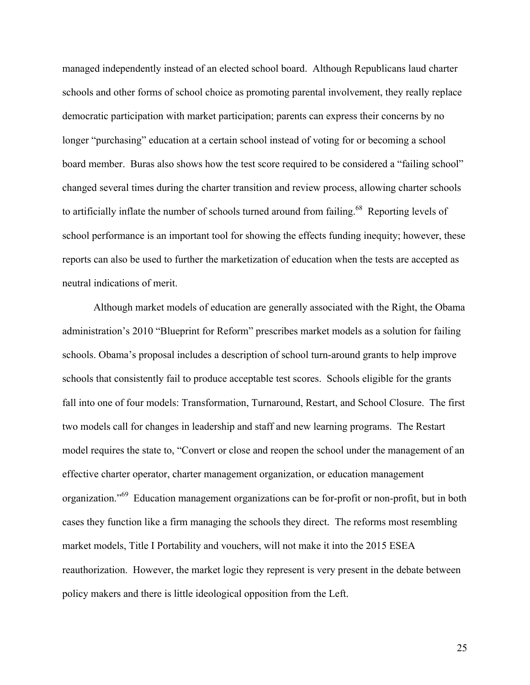managed independently instead of an elected school board. Although Republicans laud charter schools and other forms of school choice as promoting parental involvement, they really replace democratic participation with market participation; parents can express their concerns by no longer "purchasing" education at a certain school instead of voting for or becoming a school board member. Buras also shows how the test score required to be considered a "failing school" changed several times during the charter transition and review process, allowing charter schools to artificially inflate the number of schools turned around from failing.<sup>68</sup> Reporting levels of school performance is an important tool for showing the effects funding inequity; however, these reports can also be used to further the marketization of education when the tests are accepted as neutral indications of merit.

Although market models of education are generally associated with the Right, the Obama administration's 2010 "Blueprint for Reform" prescribes market models as a solution for failing schools. Obama's proposal includes a description of school turn-around grants to help improve schools that consistently fail to produce acceptable test scores. Schools eligible for the grants fall into one of four models: Transformation, Turnaround, Restart, and School Closure. The first two models call for changes in leadership and staff and new learning programs. The Restart model requires the state to, "Convert or close and reopen the school under the management of an effective charter operator, charter management organization, or education management organization." 69 Education management organizations can be for-profit or non-profit, but in both cases they function like a firm managing the schools they direct. The reforms most resembling market models, Title I Portability and vouchers, will not make it into the 2015 ESEA reauthorization. However, the market logic they represent is very present in the debate between policy makers and there is little ideological opposition from the Left.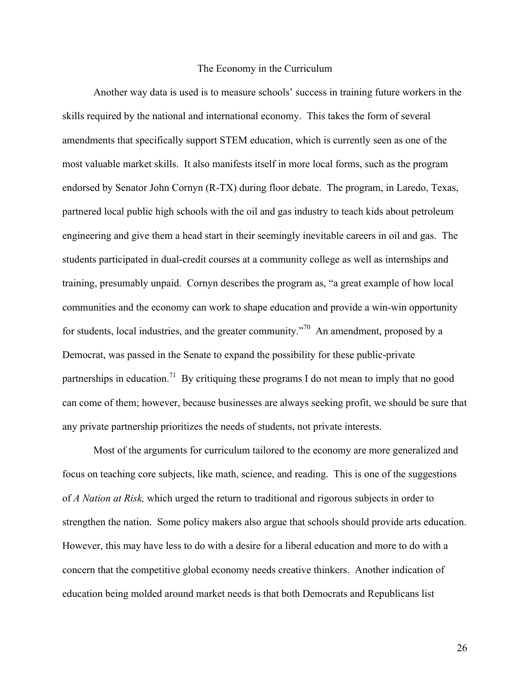# The Economy in the Curriculum

Another way data is used is to measure schools' success in training future workers in the skills required by the national and international economy. This takes the form of several amendments that specifically support STEM education, which is currently seen as one of the most valuable market skills. It also manifests itself in more local forms, such as the program endorsed by Senator John Cornyn (R-TX) during floor debate. The program, in Laredo, Texas, partnered local public high schools with the oil and gas industry to teach kids about petroleum engineering and give them a head start in their seemingly inevitable careers in oil and gas. The students participated in dual-credit courses at a community college as well as internships and training, presumably unpaid. Cornyn describes the program as, "a great example of how local communities and the economy can work to shape education and provide a win-win opportunity for students, local industries, and the greater community."<sup>70</sup> An amendment, proposed by a Democrat, was passed in the Senate to expand the possibility for these public-private partnerships in education.<sup>71</sup> By critiquing these programs I do not mean to imply that no good can come of them; however, because businesses are always seeking profit, we should be sure that any private partnership prioritizes the needs of students, not private interests.

Most of the arguments for curriculum tailored to the economy are more generalized and focus on teaching core subjects, like math, science, and reading. This is one of the suggestions of *A Nation at Risk,* which urged the return to traditional and rigorous subjects in order to strengthen the nation. Some policy makers also argue that schools should provide arts education. However, this may have less to do with a desire for a liberal education and more to do with a concern that the competitive global economy needs creative thinkers. Another indication of education being molded around market needs is that both Democrats and Republicans list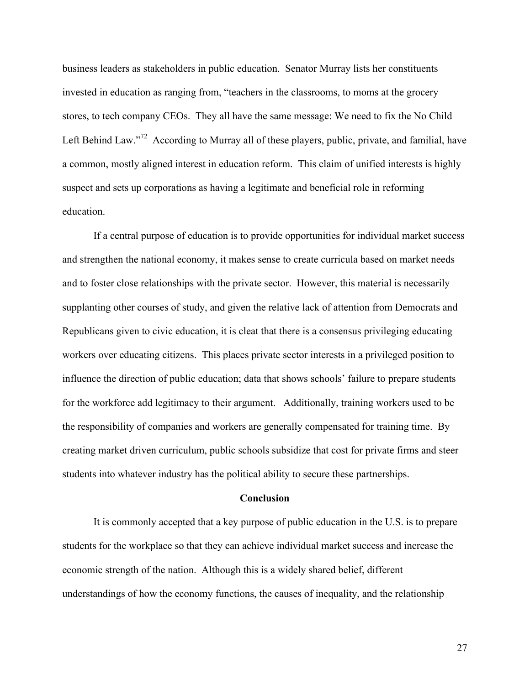business leaders as stakeholders in public education. Senator Murray lists her constituents invested in education as ranging from, "teachers in the classrooms, to moms at the grocery stores, to tech company CEOs. They all have the same message: We need to fix the No Child Left Behind Law."<sup>72</sup> According to Murray all of these players, public, private, and familial, have a common, mostly aligned interest in education reform. This claim of unified interests is highly suspect and sets up corporations as having a legitimate and beneficial role in reforming education.

If a central purpose of education is to provide opportunities for individual market success and strengthen the national economy, it makes sense to create curricula based on market needs and to foster close relationships with the private sector. However, this material is necessarily supplanting other courses of study, and given the relative lack of attention from Democrats and Republicans given to civic education, it is cleat that there is a consensus privileging educating workers over educating citizens. This places private sector interests in a privileged position to influence the direction of public education; data that shows schools' failure to prepare students for the workforce add legitimacy to their argument. Additionally, training workers used to be the responsibility of companies and workers are generally compensated for training time. By creating market driven curriculum, public schools subsidize that cost for private firms and steer students into whatever industry has the political ability to secure these partnerships.

#### **Conclusion**

It is commonly accepted that a key purpose of public education in the U.S. is to prepare students for the workplace so that they can achieve individual market success and increase the economic strength of the nation. Although this is a widely shared belief, different understandings of how the economy functions, the causes of inequality, and the relationship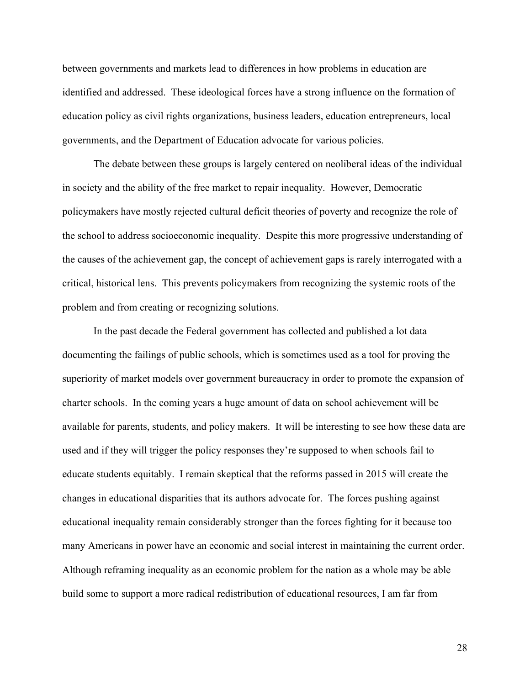between governments and markets lead to differences in how problems in education are identified and addressed. These ideological forces have a strong influence on the formation of education policy as civil rights organizations, business leaders, education entrepreneurs, local governments, and the Department of Education advocate for various policies.

The debate between these groups is largely centered on neoliberal ideas of the individual in society and the ability of the free market to repair inequality. However, Democratic policymakers have mostly rejected cultural deficit theories of poverty and recognize the role of the school to address socioeconomic inequality. Despite this more progressive understanding of the causes of the achievement gap, the concept of achievement gaps is rarely interrogated with a critical, historical lens. This prevents policymakers from recognizing the systemic roots of the problem and from creating or recognizing solutions.

In the past decade the Federal government has collected and published a lot data documenting the failings of public schools, which is sometimes used as a tool for proving the superiority of market models over government bureaucracy in order to promote the expansion of charter schools. In the coming years a huge amount of data on school achievement will be available for parents, students, and policy makers. It will be interesting to see how these data are used and if they will trigger the policy responses they're supposed to when schools fail to educate students equitably. I remain skeptical that the reforms passed in 2015 will create the changes in educational disparities that its authors advocate for. The forces pushing against educational inequality remain considerably stronger than the forces fighting for it because too many Americans in power have an economic and social interest in maintaining the current order. Although reframing inequality as an economic problem for the nation as a whole may be able build some to support a more radical redistribution of educational resources, I am far from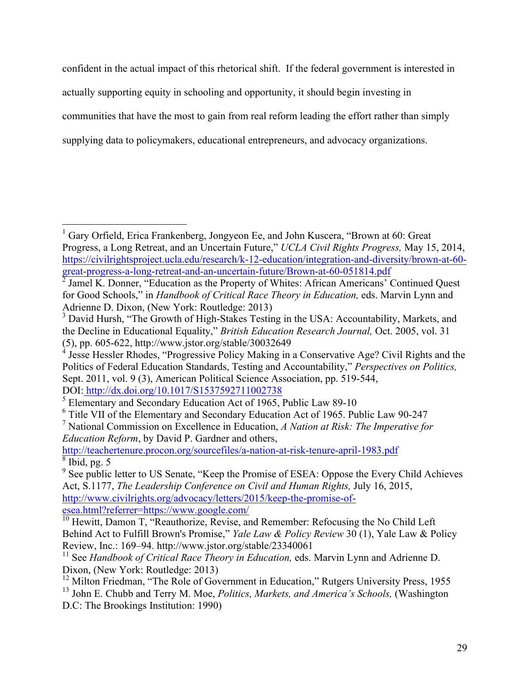confident in the actual impact of this rhetorical shift. If the federal government is interested in actually supporting equity in schooling and opportunity, it should begin investing in communities that have the most to gain from real reform leading the effort rather than simply supplying data to policymakers, educational entrepreneurs, and advocacy organizations.

DOI: http://dx.doi.org/10.1017/S1537592711002738

<sup>&</sup>lt;sup>1</sup> Gary Orfield, Erica Frankenberg, Jongyeon Ee, and John Kuscera, "Brown at 60: Great Progress, a Long Retreat, and an Uncertain Future," *UCLA Civil Rights Progress,* May 15, 2014, https://civilrightsproject.ucla.edu/research/k-12-education/integration-and-diversity/brown-at-60 great-progress-a-long-retreat-and-an-uncertain-future/Brown-at-60-051814.pdf

 $\frac{2}{3}$  Jamel K. Donner, "Education as the Property of Whites: African Americans' Continued Quest for Good Schools," in *Handbook of Critical Race Theory in Education,* eds. Marvin Lynn and Adrienne D. Dixon, (New York: Routledge: 2013)

<sup>&</sup>lt;sup>3</sup> David Hursh, "The Growth of High-Stakes Testing in the USA: Accountability, Markets, and the Decline in Educational Equality," *British Education Research Journal,* Oct. 2005, vol. 31 (5), pp. 605-622, http://www.jstor.org/stable/30032649

 $4 \overline{1}$  Jesse Hessler Rhodes, "Progressive Policy Making in a Conservative Age? Civil Rights and the Politics of Federal Education Standards, Testing and Accountability," *Perspectives on Politics,*  Sept. 2011, vol. 9 (3), American Political Science Association, pp. 519-544,

<sup>&</sup>lt;sup>5</sup> Elementary and Secondary Education Act of 1965, Public Law 89-10

<sup>6</sup> Title VII of the Elementary and Secondary Education Act of 1965. Public Law 90-247

<sup>7</sup> National Commission on Excellence in Education, *A Nation at Risk: The Imperative for Education Reform*, by David P. Gardner and others,

http://teachertenure.procon.org/sourcefiles/a-nation-at-risk-tenure-april-1983.pdf  $\overline{\text{B} \cdot \text{B}}$  Ibid, pg. 5

<sup>&</sup>lt;sup>9</sup> See public letter to US Senate, "Keep the Promise of ESEA: Oppose the Every Child Achieves Act, S.1177, *The Leadership Conference on Civil and Human Rights,* July 16, 2015, http://www.civilrights.org/advocacy/letters/2015/keep-the-promise-ofesea.html?referrer=https://www.google.com/

 $\frac{10}{10}$  Hewitt, Damon T, "Reauthorize, Revise, and Remember: Refocusing the No Child Left Behind Act to Fulfill Brown's Promise," *Yale Law & Policy Review* 30 (1), Yale Law & Policy Review, Inc.: 169–94. http://www.jstor.org/stable/23340061

<sup>&</sup>lt;sup>11</sup> See *Handbook of Critical Race Theory in Education*, eds. Marvin Lynn and Adrienne D. Dixon, (New York: Routledge: 2013)

<sup>&</sup>lt;sup>12</sup> Milton Friedman, "The Role of Government in Education," Rutgers University Press, 1955

<sup>13</sup> John E. Chubb and Terry M. Moe, *Politics, Markets, and America's Schools,* (Washington D.C: The Brookings Institution: 1990)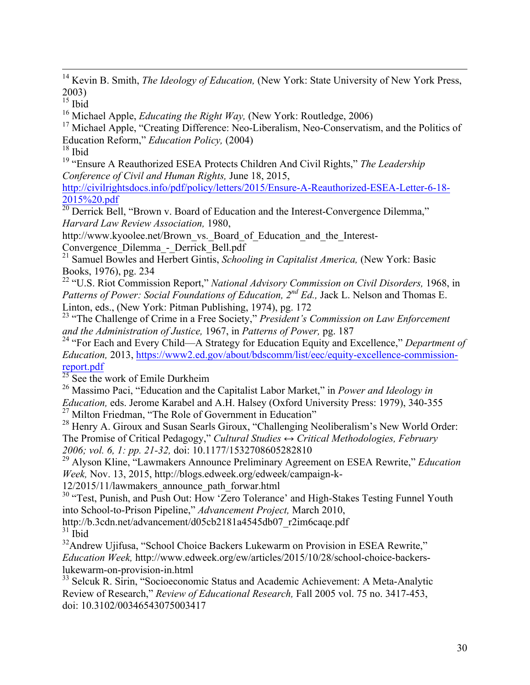<sup>14</sup> Kevin B. Smith, *The Ideology of Education*, (New York: State University of New York Press, 2003)

<sup>16</sup> Michael Apple, *Educating the Right Way*, (New York: Routledge, 2006)

<sup>17</sup> Michael Apple, "Creating Difference: Neo-Liberalism, Neo-Conservatism, and the Politics of Education Reform," *Education Policy,* (2004)

 $^{18}$  Ibid

<sup>19</sup> "Ensure A Reauthorized ESEA Protects Children And Civil Rights," *The Leadership Conference of Civil and Human Rights,* June 18, 2015,

http://civilrightsdocs.info/pdf/policy/letters/2015/Ensure-A-Reauthorized-ESEA-Letter-6-18- 2015%20.pdf

<sup>20</sup> Derrick Bell, "Brown v. Board of Education and the Interest-Convergence Dilemma," *Harvard Law Review Association,* 1980,

http://www.kyoolee.net/Brown\_vs.\_Board\_of\_Education\_and\_the\_Interest-Convergence Dilemma - Derrick Bell.pdf

<sup>21</sup> Samuel Bowles and Herbert Gintis, *Schooling in Capitalist America*, (New York: Basic Books, 1976), pg. 234

<sup>22</sup> "U.S. Riot Commission Report," *National Advisory Commission on Civil Disorders,* 1968, in *Patterns of Power: Social Foundations of Education, 2nd Ed.,* Jack L. Nelson and Thomas E. Linton, eds., (New York: Pitman Publishing, 1974), pg. 172

<sup>23</sup> "The Challenge of Crime in a Free Society," *President's Commission on Law Enforcement and the Administration of Justice,* 1967, in *Patterns of Power,* pg. 187

<sup>24</sup> "For Each and Every Child—A Strategy for Education Equity and Excellence," *Department of Education,* 2013, https://www2.ed.gov/about/bdscomm/list/eec/equity-excellence-commissionreport.pdf

 $\frac{25 \text{ years}}{25 \text{ See the work of Emile Durkheim}}$ 

<sup>26</sup> Massimo Paci, "Education and the Capitalist Labor Market," in *Power and Ideology in Education,* eds. Jerome Karabel and A.H. Halsey (Oxford University Press: 1979), 340-355 <sup>27</sup> Milton Friedman, "The Role of Government in Education"

<sup>28</sup> Henry A. Giroux and Susan Searls Giroux, "Challenging Neoliberalism's New World Order: The Promise of Critical Pedagogy," *Cultural Studies ↔ Critical Methodologies, February 2006; vol. 6, 1: pp. 21-32,* doi: 10.1177/1532708605282810

<sup>29</sup> Alyson Kline, "Lawmakers Announce Preliminary Agreement on ESEA Rewrite," *Education Week,* Nov. 13, 2015, http://blogs.edweek.org/edweek/campaign-k-

12/2015/11/lawmakers\_announce\_path\_forwar.html

 $30$  "Test, Punish, and Push Out: How 'Zero Tolerance' and High-Stakes Testing Funnel Youth into School-to-Prison Pipeline," *Advancement Project,* March 2010,

http://b.3cdn.net/advancement/d05cb2181a4545db07\_r2im6caqe.pdf  $31$  Ibid

<sup>32</sup>Andrew Ujifusa, "School Choice Backers Lukewarm on Provision in ESEA Rewrite," *Education Week,* http://www.edweek.org/ew/articles/2015/10/28/school-choice-backerslukewarm-on-provision-in.html

<sup>33</sup> Selcuk R. Sirin, "Socioeconomic Status and Academic Achievement: A Meta-Analytic Review of Research," *Review of Educational Research,* Fall 2005 vol. 75 no. 3417-453, doi: 10.3102/00346543075003417

 $15$  Ibid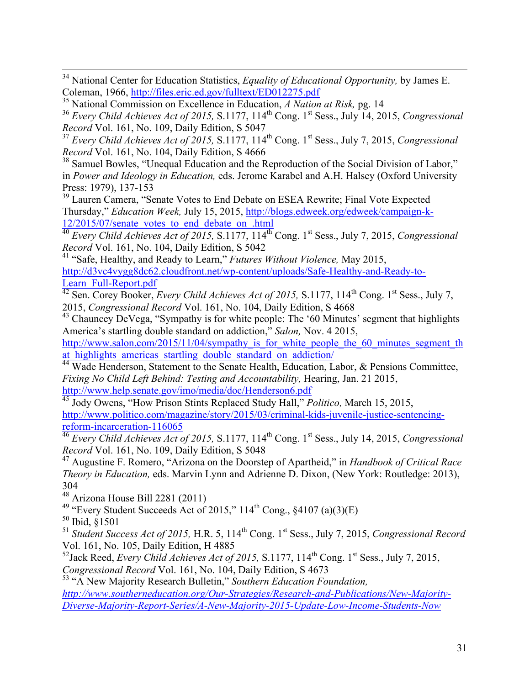34 National Center for Education Statistics, *Equality of Educational Opportunity,* by James E. Coleman, 1966, http://files.eric.ed.gov/fulltext/ED012275.pdf

<sup>37</sup> *Every Child Achieves Act of 2015, S.1177, 114<sup>th</sup> Cong. 1<sup>st</sup> Sess., July 7, 2015, <i>Congressional Record* Vol. 161, No. 104, Daily Edition, S 4666

<sup>38</sup> Samuel Bowles, "Unequal Education and the Reproduction of the Social Division of Labor," in *Power and Ideology in Education,* eds. Jerome Karabel and A.H. Halsey (Oxford University Press: 1979), 137-153

<sup>39</sup> Lauren Camera, "Senate Votes to End Debate on ESEA Rewrite; Final Vote Expected Thursday," *Education Week,* July 15, 2015, http://blogs.edweek.org/edweek/campaign-k-12/2015/07/senate\_votes\_to\_end\_debate\_on\_.html

<sup>40</sup> *Every Child Achieves Act of 2015,* S.1177, 114th Cong. 1st Sess., July 7, 2015, *Congressional Record* Vol. 161, No. 104, Daily Edition, S 5042

<sup>41</sup> "Safe, Healthy, and Ready to Learn," *Futures Without Violence,* May 2015, http://d3vc4vygg8dc62.cloudfront.net/wp-content/uploads/Safe-Healthy-and-Ready-to-Learn Full-Report.pdf

<sup>42</sup> Sen. Corey Booker, *Every Child Achieves Act of 2015*, S.1177, 114<sup>th</sup> Cong. 1<sup>st</sup> Sess., July 7, 2015, *Congressional Record* Vol. 161, No. 104, Daily Edition, S 4668

<sup>43</sup> Chauncey DeVega, "Sympathy is for white people: The '60 Minutes' segment that highlights America's startling double standard on addiction," *Salon,* Nov. 4 2015,

http://www.salon.com/2015/11/04/sympathy\_is\_for\_white\_people\_the\_60\_minutes\_segment\_th at highlights americas startling double standard on addiction/

<sup>44</sup> Wade Henderson, Statement to the Senate Health, Education, Labor, & Pensions Committee, *Fixing No Child Left Behind: Testing and Accountability, Hearing, Jan. 21 2015,* http://www.help.senate.gov/imo/media/doc/Henderson6.pdf

<sup>45</sup> Jody Owens, "How Prison Stints Replaced Study Hall," *Politico,* March 15, 2015, http://www.politico.com/magazine/story/2015/03/criminal-kids-juvenile-justice-sentencingreform-incarceration-116065

<sup>46</sup> *Every Child Achieves Act of 2015,* S.1177, 114th Cong. 1st Sess., July 14, 2015, *Congressional Record* Vol. 161, No. 109, Daily Edition, S 5048

<sup>47</sup> Augustine F. Romero, "Arizona on the Doorstep of Apartheid," in *Handbook of Critical Race Theory in Education,* eds. Marvin Lynn and Adrienne D. Dixon, (New York: Routledge: 2013), 304

<sup>48</sup> Arizona House Bill 2281 (2011)

<sup>49</sup> "Every Student Succeeds Act of 2015,"  $114<sup>th</sup>$  Cong.,  $\&4107$  (a)(3)(E)

 $50$  Ibid,  $$1501$ 

<sup>51</sup> *Student Success Act of 2015,* H.R. 5, 114th Cong. 1st Sess., July 7, 2015, *Congressional Record*  Vol. 161, No. 105, Daily Edition, H 4885

<sup>52</sup>Jack Reed, *Every Child Achieves Act of 2015*, S.1177, 114<sup>th</sup> Cong. 1<sup>st</sup> Sess., July 7, 2015, *Congressional Record* Vol. 161, No. 104, Daily Edition, S 4673

<sup>53</sup> "A New Majority Research Bulletin," *Southern Education Foundation, http://www.southerneducation.org/Our-Strategies/Research-and-Publications/New-Majority-Diverse-Majority-Report-Series/A-New-Majority-2015-Update-Low-Income-Students-Now*

<sup>35</sup> National Commission on Excellence in Education, *A Nation at Risk,* pg. 14

<sup>36</sup> *Every Child Achieves Act of 2015,* S.1177, 114th Cong. 1st Sess., July 14, 2015, *Congressional Record* Vol. 161, No. 109, Daily Edition, S 5047